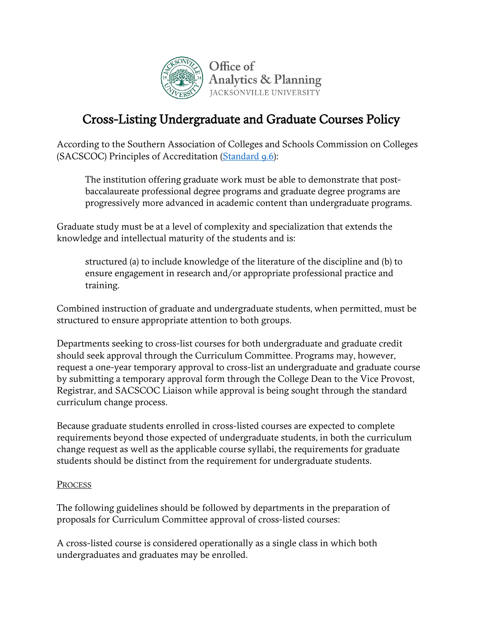

## Cross-Listing Undergraduate and Graduate Courses Policy

According to the Southern Association of Colleges and Schools Commission on Colleges (SACSCOC) Principles of Accreditation (Standard 9.6):

The institution offering graduate work must be able to demonstrate that postbaccalaureate professional degree programs and graduate degree programs are progressively more advanced in academic content than undergraduate programs.

Graduate study must be at a level of complexity and specialization that extends the knowledge and intellectual maturity of the students and is:

structured (a) to include knowledge of the literature of the discipline and (b) to ensure engagement in research and/or appropriate professional practice and training.

Combined instruction of graduate and undergraduate students, when permitted, must be structured to ensure appropriate attention to both groups.

Departments seeking to cross-list courses for both undergraduate and graduate credit should seek approval through the Curriculum Committee. Programs may, however, request a one-year temporary approval to cross-list an undergraduate and graduate course by submitting a temporary approval form through the College Dean to the Vice Provost, Registrar, and SACSCOC Liaison while approval is being sought through the standard curriculum change process.

Because graduate students enrolled in cross-listed courses are expected to complete requirements beyond those expected of undergraduate students, in both the curriculum change request as well as the applicable course syllabi, the requirements for graduate students should be distinct from the requirement for undergraduate students.

## **PROCESS**

The following guidelines should be followed by departments in the preparation of proposals for Curriculum Committee approval of cross-listed courses:

A cross-listed course is considered operationally as a single class in which both undergraduates and graduates may be enrolled.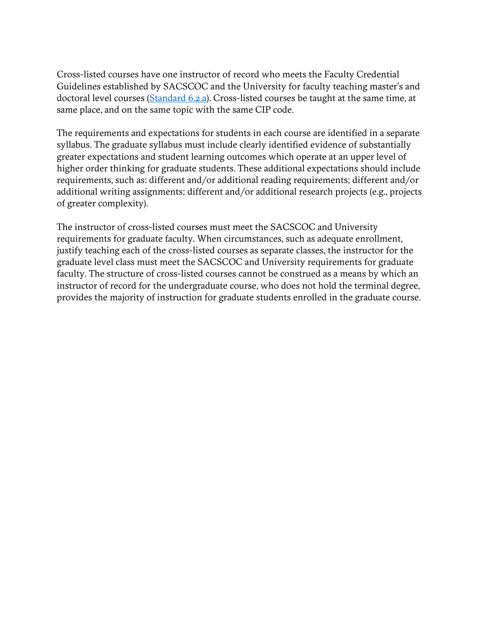Cross-listed courses have one instructor of record who meets the Faculty Credential Guidelines established by SACSCOC and the University for faculty teaching master's and doctoral level courses (Standard 6.2.a). Cross-listed courses be taught at the same time, at same place, and on the same topic with the same CIP code.

The requirements and expectations for students in each course are identified in a separate syllabus. The graduate syllabus must include clearly identified evidence of substantially greater expectations and student learning outcomes which operate at an upper level of higher order thinking for graduate students. These additional expectations should include requirements, such as: different and/or additional reading requirements; different and/or additional writing assignments; different and/or additional research projects (e.g., projects of greater complexity).

The instructor of cross-listed courses must meet the SACSCOC and University requirements for graduate faculty. When circumstances, such as adequate enrollment, justify teaching each of the cross-listed courses as separate classes, the instructor for the graduate level class must meet the SACSCOC and University requirements for graduate faculty. The structure of cross-listed courses cannot be construed as a means by which an instructor of record for the undergraduate course, who does not hold the terminal degree, provides the majority of instruction for graduate students enrolled in the graduate course.